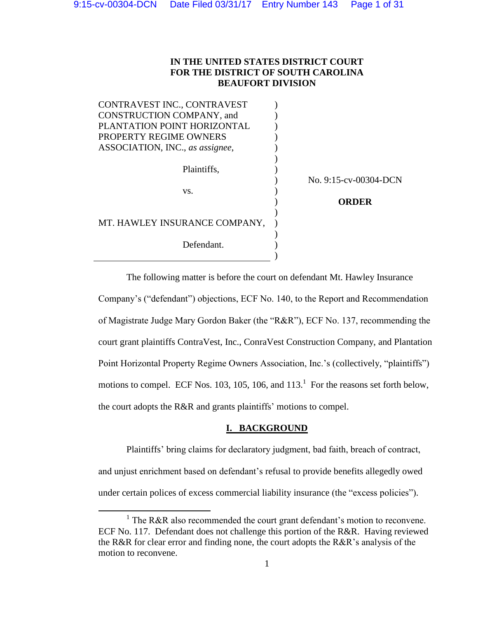# **IN THE UNITED STATES DISTRICT COURT FOR THE DISTRICT OF SOUTH CAROLINA BEAUFORT DIVISION**

CONTRAVEST INC., CONTRAVEST CONSTRUCTION COMPANY, and PLANTATION POINT HORIZONTAL PROPERTY REGIME OWNERS ASSOCIATION, INC., *as assignee*, )  $\mathcal{L}$ ) ) ) ) Plaintiffs,  $\qquad \qquad$ ) ) No. 9:15-cv-00304-DCN  $\mathbf{v}\mathbf{s}$ .  $\qquad \qquad$  )  $\mathcal{L}$  $\lambda$ **ORDER**  MT. HAWLEY INSURANCE COMPANY, ) ) Defendant. )

The following matter is before the court on defendant Mt. Hawley Insurance Company's ("defendant") objections, ECF No. 140, to the Report and Recommendation of Magistrate Judge Mary Gordon Baker (the "R&R"), ECF No. 137, recommending the court grant plaintiffs ContraVest, Inc., ConraVest Construction Company, and Plantation Point Horizontal Property Regime Owners Association, Inc.'s (collectively, "plaintiffs") motions to compel. ECF Nos. 103, 105, 106, and  $113.<sup>1</sup>$  For the reasons set forth below, the court adopts the R&R and grants plaintiffs' motions to compel.

### **I. BACKGROUND**

Plaintiffs' bring claims for declaratory judgment, bad faith, breach of contract, and unjust enrichment based on defendant's refusal to provide benefits allegedly owed under certain polices of excess commercial liability insurance (the "excess policies").

 $\overline{\phantom{a}}$ 

<sup>&</sup>lt;sup>1</sup> The R&R also recommended the court grant defendant's motion to reconvene. ECF No. 117. Defendant does not challenge this portion of the R&R. Having reviewed the R&R for clear error and finding none, the court adopts the R&R's analysis of the motion to reconvene.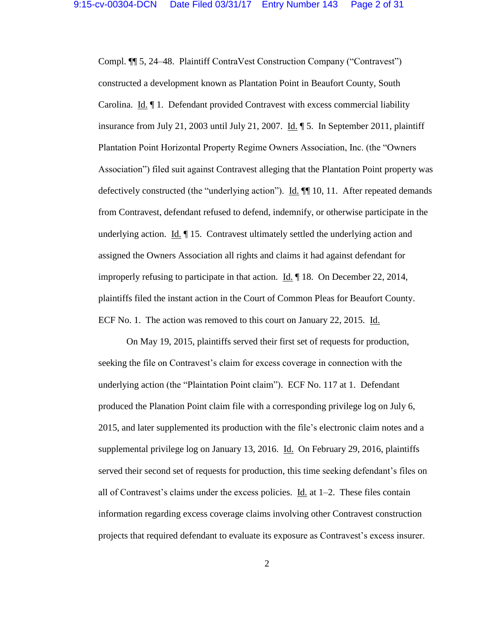Compl. ¶¶ 5, 24–48. Plaintiff ContraVest Construction Company ("Contravest") constructed a development known as Plantation Point in Beaufort County, South Carolina. Id. ¶ 1. Defendant provided Contravest with excess commercial liability insurance from July 21, 2003 until July 21, 2007. Id. ¶ 5. In September 2011, plaintiff Plantation Point Horizontal Property Regime Owners Association, Inc. (the "Owners Association") filed suit against Contravest alleging that the Plantation Point property was defectively constructed (the "underlying action"). Id. ¶¶ 10, 11. After repeated demands from Contravest, defendant refused to defend, indemnify, or otherwise participate in the underlying action. Id. ¶ 15. Contravest ultimately settled the underlying action and assigned the Owners Association all rights and claims it had against defendant for improperly refusing to participate in that action. Id. ¶ 18. On December 22, 2014, plaintiffs filed the instant action in the Court of Common Pleas for Beaufort County. ECF No. 1. The action was removed to this court on January 22, 2015. Id.

On May 19, 2015, plaintiffs served their first set of requests for production, seeking the file on Contravest's claim for excess coverage in connection with the underlying action (the "Plaintation Point claim"). ECF No. 117 at 1. Defendant produced the Planation Point claim file with a corresponding privilege log on July 6, 2015, and later supplemented its production with the file's electronic claim notes and a supplemental privilege log on January 13, 2016. Id. On February 29, 2016, plaintiffs served their second set of requests for production, this time seeking defendant's files on all of Contravest's claims under the excess policies.  $\underline{Id}$  at 1–2. These files contain information regarding excess coverage claims involving other Contravest construction projects that required defendant to evaluate its exposure as Contravest's excess insurer.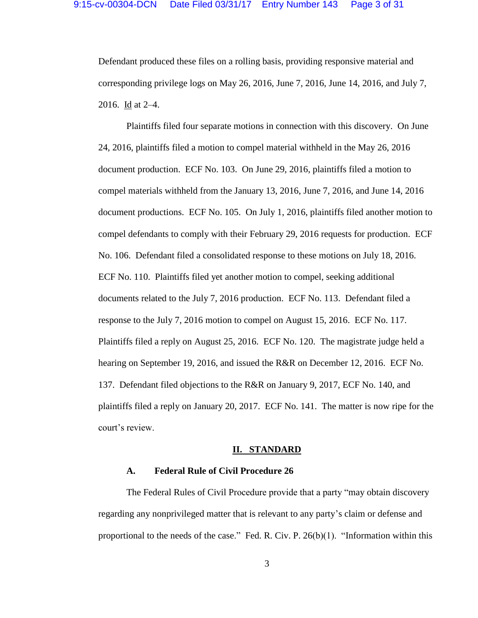Defendant produced these files on a rolling basis, providing responsive material and corresponding privilege logs on May 26, 2016, June 7, 2016, June 14, 2016, and July 7, 2016. Id at 2–4.

Plaintiffs filed four separate motions in connection with this discovery. On June 24, 2016, plaintiffs filed a motion to compel material withheld in the May 26, 2016 document production. ECF No. 103. On June 29, 2016, plaintiffs filed a motion to compel materials withheld from the January 13, 2016, June 7, 2016, and June 14, 2016 document productions. ECF No. 105. On July 1, 2016, plaintiffs filed another motion to compel defendants to comply with their February 29, 2016 requests for production. ECF No. 106. Defendant filed a consolidated response to these motions on July 18, 2016. ECF No. 110. Plaintiffs filed yet another motion to compel, seeking additional documents related to the July 7, 2016 production. ECF No. 113. Defendant filed a response to the July 7, 2016 motion to compel on August 15, 2016. ECF No. 117. Plaintiffs filed a reply on August 25, 2016. ECF No. 120. The magistrate judge held a hearing on September 19, 2016, and issued the R&R on December 12, 2016. ECF No. 137. Defendant filed objections to the R&R on January 9, 2017, ECF No. 140, and plaintiffs filed a reply on January 20, 2017. ECF No. 141. The matter is now ripe for the court's review.

#### **II. STANDARD**

#### **A. Federal Rule of Civil Procedure 26**

The Federal Rules of Civil Procedure provide that a party "may obtain discovery regarding any nonprivileged matter that is relevant to any party's claim or defense and proportional to the needs of the case." Fed. R. Civ. P. 26(b)(1). "Information within this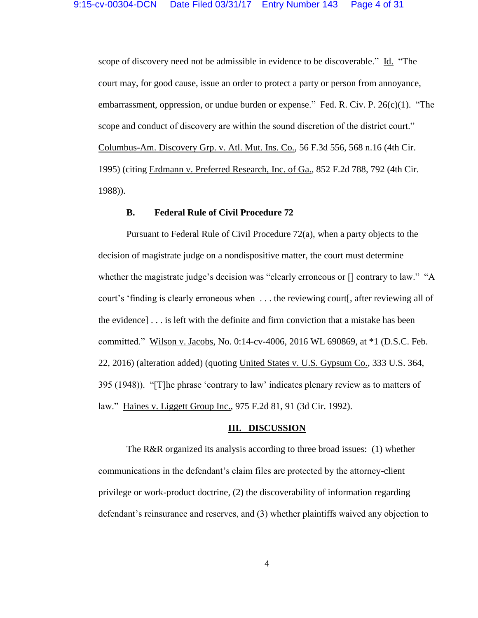scope of discovery need not be admissible in evidence to be discoverable." Id. "The court may, for good cause, issue an order to protect a party or person from annoyance, embarrassment, oppression, or undue burden or expense." Fed. R. Civ. P. 26(c)(1). "The scope and conduct of discovery are within the sound discretion of the district court." Columbus-Am. Discovery Grp. v. Atl. Mut. Ins. Co., 56 F.3d 556, 568 n.16 (4th Cir. 1995) (citing Erdmann v. Preferred Research, Inc. of Ga., 852 F.2d 788, 792 (4th Cir. 1988)).

#### **B. Federal Rule of Civil Procedure 72**

Pursuant to Federal Rule of Civil Procedure 72(a), when a party objects to the decision of magistrate judge on a nondispositive matter, the court must determine whether the magistrate judge's decision was "clearly erroneous or  $\iota$  contrary to law." "A court's 'finding is clearly erroneous when . . . the reviewing court. after reviewing all of the evidence] . . . is left with the definite and firm conviction that a mistake has been committed." Wilson v. Jacobs, No. 0:14-cv-4006, 2016 WL 690869, at \*1 (D.S.C. Feb. 22, 2016) (alteration added) (quoting United States v. U.S. Gypsum Co., 333 U.S. 364, 395 (1948)). "[T]he phrase 'contrary to law' indicates plenary review as to matters of law." Haines v. Liggett Group Inc., 975 F.2d 81, 91 (3d Cir. 1992).

#### **III. DISCUSSION**

The R&R organized its analysis according to three broad issues: (1) whether communications in the defendant's claim files are protected by the attorney-client privilege or work-product doctrine, (2) the discoverability of information regarding defendant's reinsurance and reserves, and (3) whether plaintiffs waived any objection to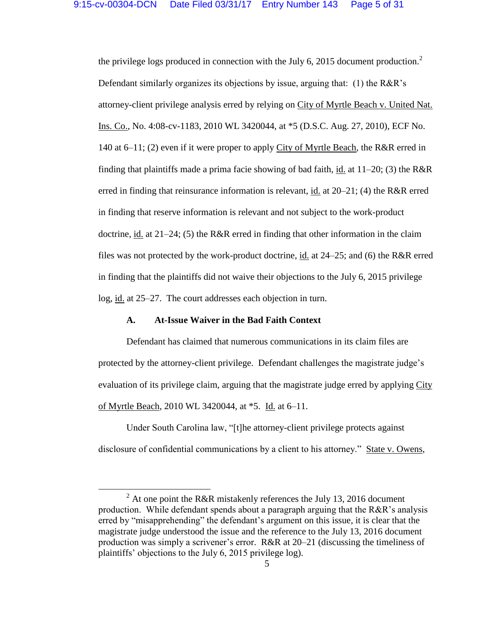the privilege logs produced in connection with the July 6, 2015 document production.<sup>2</sup> Defendant similarly organizes its objections by issue, arguing that: (1) the R&R's attorney-client privilege analysis erred by relying on City of Myrtle Beach v. United Nat. Ins. Co., No. 4:08-cv-1183, 2010 WL 3420044, at \*5 (D.S.C. Aug. 27, 2010), ECF No. 140 at 6–11; (2) even if it were proper to apply City of Myrtle Beach, the R&R erred in finding that plaintiffs made a prima facie showing of bad faith, id. at  $11-20$ ; (3) the R&R erred in finding that reinsurance information is relevant, id. at 20–21; (4) the R&R erred in finding that reserve information is relevant and not subject to the work-product doctrine, id. at  $21-24$ ; (5) the R&R erred in finding that other information in the claim files was not protected by the work-product doctrine, id. at 24–25; and (6) the R&R erred in finding that the plaintiffs did not waive their objections to the July 6, 2015 privilege log, id. at 25–27. The court addresses each objection in turn.

#### **A. At-Issue Waiver in the Bad Faith Context**

 $\overline{a}$ 

Defendant has claimed that numerous communications in its claim files are protected by the attorney-client privilege. Defendant challenges the magistrate judge's evaluation of its privilege claim, arguing that the magistrate judge erred by applying City of Myrtle Beach, 2010 WL 3420044, at \*5. Id. at 6–11.

Under South Carolina law, "[t]he attorney-client privilege protects against disclosure of confidential communications by a client to his attorney." State v. Owens,

 $2$  At one point the R&R mistakenly references the July 13, 2016 document production. While defendant spends about a paragraph arguing that the R&R's analysis erred by "misapprehending" the defendant's argument on this issue, it is clear that the magistrate judge understood the issue and the reference to the July 13, 2016 document production was simply a scrivener's error. R&R at 20–21 (discussing the timeliness of plaintiffs' objections to the July 6, 2015 privilege log).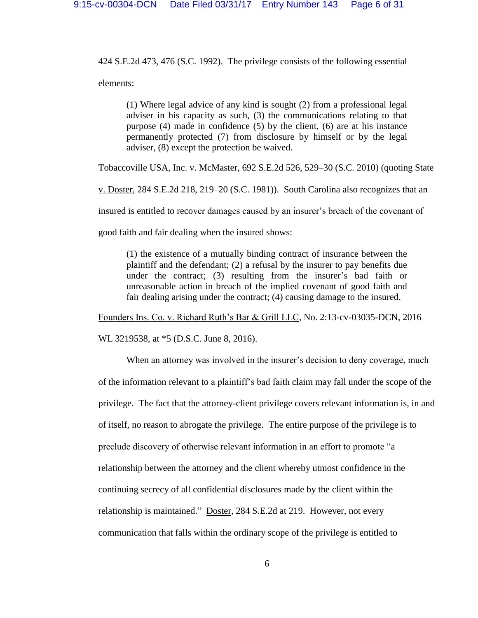424 S.E.2d 473, 476 (S.C. 1992). The privilege consists of the following essential elements:

(1) Where legal advice of any kind is sought (2) from a professional legal adviser in his capacity as such, (3) the communications relating to that purpose (4) made in confidence (5) by the client, (6) are at his instance permanently protected (7) from disclosure by himself or by the legal adviser, (8) except the protection be waived.

Tobaccoville USA, Inc. v. McMaster, 692 S.E.2d 526, 529–30 (S.C. 2010) (quoting State

v. Doster, 284 S.E.2d 218, 219–20 (S.C. 1981)). South Carolina also recognizes that an

insured is entitled to recover damages caused by an insurer's breach of the covenant of

good faith and fair dealing when the insured shows:

(1) the existence of a mutually binding contract of insurance between the plaintiff and the defendant; (2) a refusal by the insurer to pay benefits due under the contract; (3) resulting from the insurer's bad faith or unreasonable action in breach of the implied covenant of good faith and fair dealing arising under the contract; (4) causing damage to the insured.

Founders Ins. Co. v. Richard Ruth's Bar & Grill LLC, No. 2:13-cv-03035-DCN, 2016

WL 3219538, at \*5 (D.S.C. June 8, 2016).

When an attorney was involved in the insurer's decision to deny coverage, much of the information relevant to a plaintiff's bad faith claim may fall under the scope of the privilege. The fact that the attorney-client privilege covers relevant information is, in and of itself, no reason to abrogate the privilege. The entire purpose of the privilege is to preclude discovery of otherwise relevant information in an effort to promote "a relationship between the attorney and the client whereby utmost confidence in the continuing secrecy of all confidential disclosures made by the client within the relationship is maintained." Doster, 284 S.E.2d at 219. However, not every communication that falls within the ordinary scope of the privilege is entitled to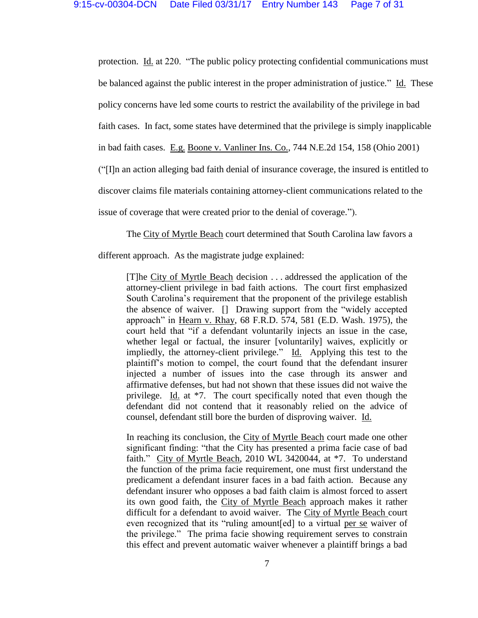protection. Id. at 220. "The public policy protecting confidential communications must be balanced against the public interest in the proper administration of justice." Id. These policy concerns have led some courts to restrict the availability of the privilege in bad faith cases. In fact, some states have determined that the privilege is simply inapplicable in bad faith cases. E.g. Boone v. Vanliner Ins. Co., 744 N.E.2d 154, 158 (Ohio 2001) ("[I]n an action alleging bad faith denial of insurance coverage, the insured is entitled to discover claims file materials containing attorney-client communications related to the issue of coverage that were created prior to the denial of coverage.").

The City of Myrtle Beach court determined that South Carolina law favors a

different approach. As the magistrate judge explained:

[T]he City of Myrtle Beach decision . . . addressed the application of the attorney-client privilege in bad faith actions. The court first emphasized South Carolina's requirement that the proponent of the privilege establish the absence of waiver. [] Drawing support from the "widely accepted approach" in Hearn v. Rhay, 68 F.R.D. 574, 581 (E.D. Wash. 1975), the court held that "if a defendant voluntarily injects an issue in the case, whether legal or factual, the insurer [voluntarily] waives, explicitly or impliedly, the attorney-client privilege." Id. Applying this test to the plaintiff's motion to compel, the court found that the defendant insurer injected a number of issues into the case through its answer and affirmative defenses, but had not shown that these issues did not waive the privilege. Id. at \*7. The court specifically noted that even though the defendant did not contend that it reasonably relied on the advice of counsel, defendant still bore the burden of disproving waiver. Id.

In reaching its conclusion, the City of Myrtle Beach court made one other significant finding: "that the City has presented a prima facie case of bad faith." City of Myrtle Beach, 2010 WL 3420044, at \*7. To understand the function of the prima facie requirement, one must first understand the predicament a defendant insurer faces in a bad faith action. Because any defendant insurer who opposes a bad faith claim is almost forced to assert its own good faith, the City of Myrtle Beach approach makes it rather difficult for a defendant to avoid waiver. The City of Myrtle Beach court even recognized that its "ruling amount[ed] to a virtual per se waiver of the privilege." The prima facie showing requirement serves to constrain this effect and prevent automatic waiver whenever a plaintiff brings a bad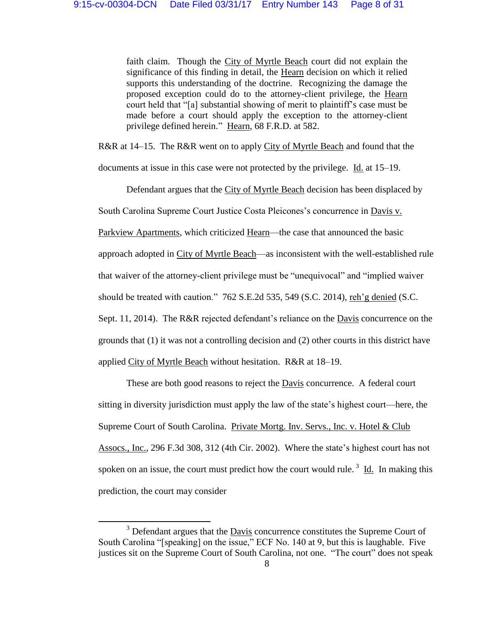faith claim. Though the City of Myrtle Beach court did not explain the significance of this finding in detail, the Hearn decision on which it relied supports this understanding of the doctrine. Recognizing the damage the proposed exception could do to the attorney-client privilege, the Hearn court held that "[a] substantial showing of merit to plaintiff's case must be made before a court should apply the exception to the attorney-client privilege defined herein." Hearn, 68 F.R.D. at 582.

R&R at 14–15. The R&R went on to apply City of Myrtle Beach and found that the

documents at issue in this case were not protected by the privilege. Id. at 15–19.

Defendant argues that the City of Myrtle Beach decision has been displaced by South Carolina Supreme Court Justice Costa Pleicones's concurrence in Davis v. Parkview Apartments, which criticized Hearn—the case that announced the basic approach adopted in City of Myrtle Beach—as inconsistent with the well-established rule that waiver of the attorney-client privilege must be "unequivocal" and "implied waiver should be treated with caution." 762 S.E.2d 535, 549 (S.C. 2014), reh'g denied (S.C.

Sept. 11, 2014). The R&R rejected defendant's reliance on the Davis concurrence on the grounds that (1) it was not a controlling decision and (2) other courts in this district have

applied City of Myrtle Beach without hesitation. R&R at 18–19.

l

These are both good reasons to reject the Davis concurrence. A federal court sitting in diversity jurisdiction must apply the law of the state's highest court—here, the Supreme Court of South Carolina. Private Mortg. Inv. Servs., Inc. v. Hotel & Club Assocs., Inc., 296 F.3d 308, 312 (4th Cir. 2002). Where the state's highest court has not spoken on an issue, the court must predict how the court would rule.<sup>3</sup> Id. In making this prediction, the court may consider

 $3$  Defendant argues that the Davis concurrence constitutes the Supreme Court of South Carolina "[speaking] on the issue," ECF No. 140 at 9, but this is laughable. Five justices sit on the Supreme Court of South Carolina, not one. "The court" does not speak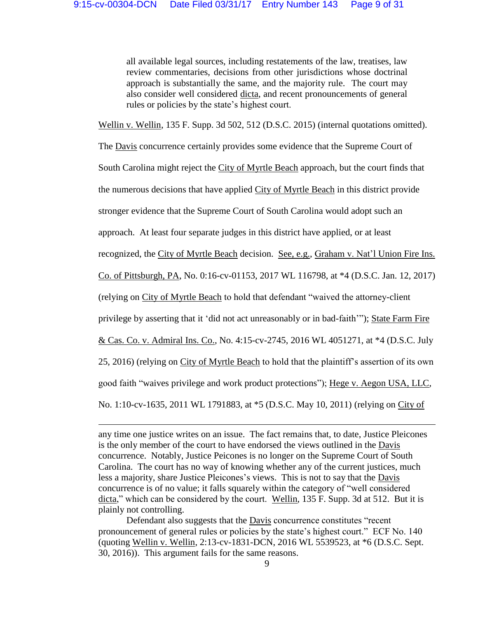all available legal sources, including restatements of the law, treatises, law review commentaries, decisions from other jurisdictions whose doctrinal approach is substantially the same, and the majority rule. The court may also consider well considered dicta, and recent pronouncements of general rules or policies by the state's highest court.

Wellin v. Wellin, 135 F. Supp. 3d 502, 512 (D.S.C. 2015) (internal quotations omitted).

The Davis concurrence certainly provides some evidence that the Supreme Court of South Carolina might reject the City of Myrtle Beach approach, but the court finds that the numerous decisions that have applied City of Myrtle Beach in this district provide stronger evidence that the Supreme Court of South Carolina would adopt such an approach. At least four separate judges in this district have applied, or at least recognized, the City of Myrtle Beach decision. See, e.g., Graham v. Nat'l Union Fire Ins. Co. of Pittsburgh, PA, No. 0:16-cv-01153, 2017 WL 116798, at \*4 (D.S.C. Jan. 12, 2017) (relying on City of Myrtle Beach to hold that defendant "waived the attorney-client privilege by asserting that it 'did not act unreasonably or in bad-faith'"); State Farm Fire & Cas. Co. v. Admiral Ins. Co., No. 4:15-cv-2745, 2016 WL 4051271, at \*4 (D.S.C. July 25, 2016) (relying on City of Myrtle Beach to hold that the plaintiff's assertion of its own good faith "waives privilege and work product protections"); Hege v. Aegon USA, LLC, No. 1:10-cv-1635, 2011 WL 1791883, at \*5 (D.S.C. May 10, 2011) (relying on City of

 $\overline{a}$ 

any time one justice writes on an issue. The fact remains that, to date, Justice Pleicones is the only member of the court to have endorsed the views outlined in the Davis concurrence. Notably, Justice Peicones is no longer on the Supreme Court of South Carolina. The court has no way of knowing whether any of the current justices, much less a majority, share Justice Pleicones's views. This is not to say that the Davis concurrence is of no value; it falls squarely within the category of "well considered dicta," which can be considered by the court. Wellin, 135 F. Supp. 3d at 512. But it is plainly not controlling.

Defendant also suggests that the Davis concurrence constitutes "recent pronouncement of general rules or policies by the state's highest court." ECF No. 140 (quoting Wellin v. Wellin, 2:13-cv-1831-DCN, 2016 WL 5539523, at \*6 (D.S.C. Sept. 30, 2016)). This argument fails for the same reasons.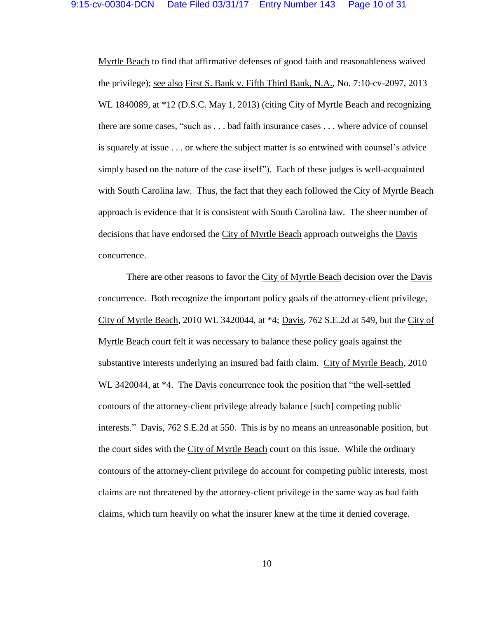Myrtle Beach to find that affirmative defenses of good faith and reasonableness waived the privilege); see also First S. Bank v. Fifth Third Bank, N.A., No. 7:10-cv-2097, 2013 WL 1840089, at \*12 (D.S.C. May 1, 2013) (citing City of Myrtle Beach and recognizing there are some cases, "such as . . . bad faith insurance cases . . . where advice of counsel is squarely at issue . . . or where the subject matter is so entwined with counsel's advice simply based on the nature of the case itself"). Each of these judges is well-acquainted with South Carolina law. Thus, the fact that they each followed the City of Myrtle Beach approach is evidence that it is consistent with South Carolina law. The sheer number of decisions that have endorsed the City of Myrtle Beach approach outweighs the Davis concurrence.

There are other reasons to favor the City of Myrtle Beach decision over the Davis concurrence. Both recognize the important policy goals of the attorney-client privilege, City of Myrtle Beach, 2010 WL 3420044, at \*4; Davis, 762 S.E.2d at 549, but the City of Myrtle Beach court felt it was necessary to balance these policy goals against the substantive interests underlying an insured bad faith claim. City of Myrtle Beach, 2010 WL 3420044, at \*4. The Davis concurrence took the position that "the well-settled contours of the attorney-client privilege already balance [such] competing public interests." Davis, 762 S.E.2d at 550. This is by no means an unreasonable position, but the court sides with the City of Myrtle Beach court on this issue. While the ordinary contours of the attorney-client privilege do account for competing public interests, most claims are not threatened by the attorney-client privilege in the same way as bad faith claims, which turn heavily on what the insurer knew at the time it denied coverage.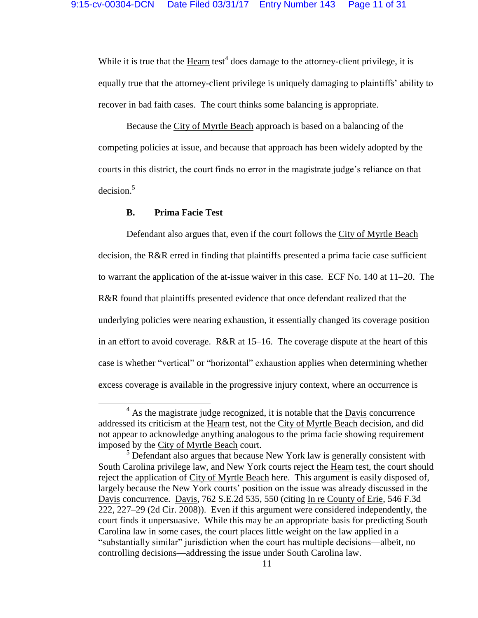While it is true that the  $Heart$  test<sup>4</sup> does damage to the attorney-client privilege, it is</u> equally true that the attorney-client privilege is uniquely damaging to plaintiffs' ability to recover in bad faith cases. The court thinks some balancing is appropriate.

Because the City of Myrtle Beach approach is based on a balancing of the competing policies at issue, and because that approach has been widely adopted by the courts in this district, the court finds no error in the magistrate judge's reliance on that decision.<sup>5</sup>

### **B. Prima Facie Test**

 $\overline{\phantom{a}}$ 

Defendant also argues that, even if the court follows the City of Myrtle Beach decision, the R&R erred in finding that plaintiffs presented a prima facie case sufficient to warrant the application of the at-issue waiver in this case. ECF No. 140 at 11–20. The R&R found that plaintiffs presented evidence that once defendant realized that the underlying policies were nearing exhaustion, it essentially changed its coverage position in an effort to avoid coverage. R&R at 15–16. The coverage dispute at the heart of this case is whether "vertical" or "horizontal" exhaustion applies when determining whether excess coverage is available in the progressive injury context, where an occurrence is

 $4$  As the magistrate judge recognized, it is notable that the  $\overline{Davis}$  concurrence addressed its criticism at the Hearn test, not the City of Myrtle Beach decision, and did not appear to acknowledge anything analogous to the prima facie showing requirement imposed by the City of Myrtle Beach court.

 $<sup>5</sup>$  Defendant also argues that because New York law is generally consistent with</sup> South Carolina privilege law, and New York courts reject the Hearn test, the court should reject the application of City of Myrtle Beach here. This argument is easily disposed of, largely because the New York courts' position on the issue was already discussed in the Davis concurrence. Davis, 762 S.E.2d 535, 550 (citing In re County of Erie, 546 F.3d 222, 227–29 (2d Cir. 2008)). Even if this argument were considered independently, the court finds it unpersuasive. While this may be an appropriate basis for predicting South Carolina law in some cases, the court places little weight on the law applied in a "substantially similar" jurisdiction when the court has multiple decisions—albeit, no controlling decisions—addressing the issue under South Carolina law.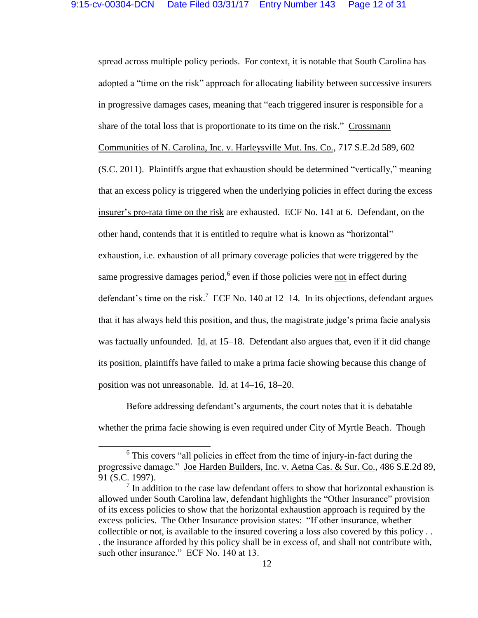spread across multiple policy periods. For context, it is notable that South Carolina has adopted a "time on the risk" approach for allocating liability between successive insurers in progressive damages cases, meaning that "each triggered insurer is responsible for a share of the total loss that is proportionate to its time on the risk." Crossmann Communities of N. Carolina, Inc. v. Harleysville Mut. Ins. Co., 717 S.E.2d 589, 602 (S.C. 2011). Plaintiffs argue that exhaustion should be determined "vertically," meaning that an excess policy is triggered when the underlying policies in effect during the excess insurer's pro-rata time on the risk are exhausted. ECF No. 141 at 6. Defendant, on the other hand, contends that it is entitled to require what is known as "horizontal" exhaustion, i.e. exhaustion of all primary coverage policies that were triggered by the same progressive damages period, <sup>6</sup> even if those policies were not in effect during defendant's time on the risk.<sup>7</sup> ECF No. 140 at 12–14. In its objections, defendant argues that it has always held this position, and thus, the magistrate judge's prima facie analysis was factually unfounded. Id. at 15–18. Defendant also argues that, even if it did change its position, plaintiffs have failed to make a prima facie showing because this change of position was not unreasonable. Id. at 14–16, 18–20.

Before addressing defendant's arguments, the court notes that it is debatable whether the prima facie showing is even required under City of Myrtle Beach. Though

 $\overline{\phantom{a}}$ 

 $6$  This covers "all policies in effect from the time of injury-in-fact during the progressive damage." Joe Harden Builders, Inc. v. Aetna Cas. & Sur. Co., 486 S.E.2d 89, 91 (S.C. 1997).

 $<sup>7</sup>$  In addition to the case law defendant offers to show that horizontal exhaustion is</sup> allowed under South Carolina law, defendant highlights the "Other Insurance" provision of its excess policies to show that the horizontal exhaustion approach is required by the excess policies. The Other Insurance provision states: "If other insurance, whether collectible or not, is available to the insured covering a loss also covered by this policy . . . the insurance afforded by this policy shall be in excess of, and shall not contribute with, such other insurance." ECF No. 140 at 13.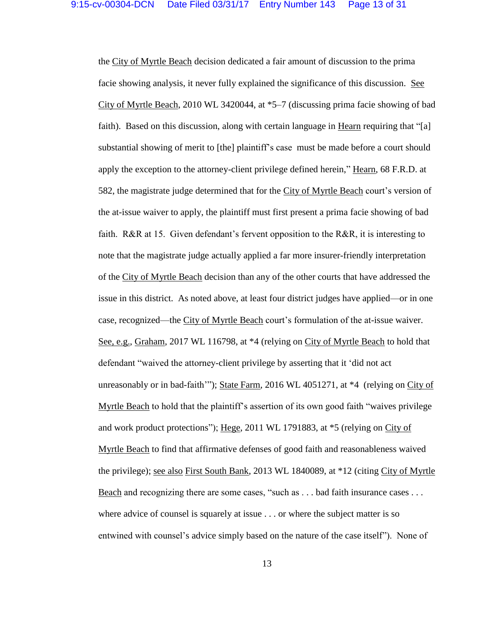the City of Myrtle Beach decision dedicated a fair amount of discussion to the prima facie showing analysis, it never fully explained the significance of this discussion. See City of Myrtle Beach, 2010 WL 3420044, at \*5–7 (discussing prima facie showing of bad faith). Based on this discussion, along with certain language in Hearn requiring that "[a] substantial showing of merit to [the] plaintiff's case must be made before a court should apply the exception to the attorney-client privilege defined herein," Hearn, 68 F.R.D. at 582, the magistrate judge determined that for the City of Myrtle Beach court's version of the at-issue waiver to apply, the plaintiff must first present a prima facie showing of bad faith. R&R at 15. Given defendant's fervent opposition to the R&R, it is interesting to note that the magistrate judge actually applied a far more insurer-friendly interpretation of the City of Myrtle Beach decision than any of the other courts that have addressed the issue in this district. As noted above, at least four district judges have applied—or in one case, recognized—the City of Myrtle Beach court's formulation of the at-issue waiver. See, e.g., Graham, 2017 WL 116798, at \*4 (relying on City of Myrtle Beach to hold that defendant "waived the attorney-client privilege by asserting that it 'did not act unreasonably or in bad-faith'"); State Farm, 2016 WL 4051271, at \*4 (relying on City of Myrtle Beach to hold that the plaintiff's assertion of its own good faith "waives privilege and work product protections"); Hege, 2011 WL 1791883, at \*5 (relying on City of Myrtle Beach to find that affirmative defenses of good faith and reasonableness waived the privilege); <u>see also First South Bank</u>, 2013 WL 1840089, at \*12 (citing City of Myrtle Beach and recognizing there are some cases, "such as . . . bad faith insurance cases . . . where advice of counsel is squarely at issue . . . or where the subject matter is so entwined with counsel's advice simply based on the nature of the case itself"). None of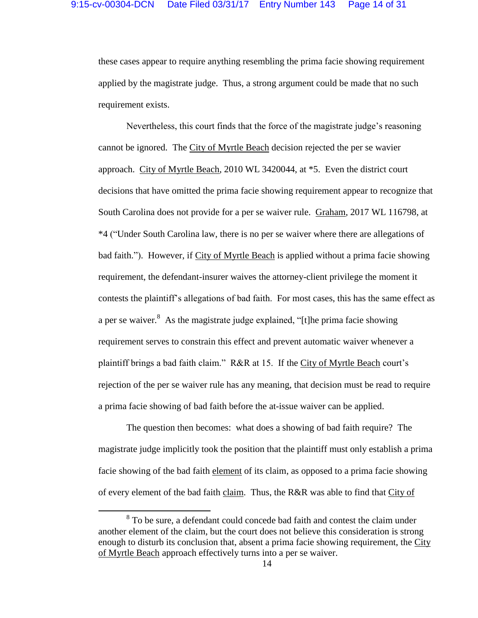these cases appear to require anything resembling the prima facie showing requirement applied by the magistrate judge. Thus, a strong argument could be made that no such requirement exists.

Nevertheless, this court finds that the force of the magistrate judge's reasoning cannot be ignored. The City of Myrtle Beach decision rejected the per se wavier approach. City of Myrtle Beach, 2010 WL 3420044, at \*5. Even the district court decisions that have omitted the prima facie showing requirement appear to recognize that South Carolina does not provide for a per se waiver rule. Graham, 2017 WL 116798, at \*4 ("Under South Carolina law, there is no per se waiver where there are allegations of bad faith."). However, if City of Myrtle Beach is applied without a prima facie showing requirement, the defendant-insurer waives the attorney-client privilege the moment it contests the plaintiff's allegations of bad faith. For most cases, this has the same effect as a per se waiver.<sup>8</sup> As the magistrate judge explained, "[t]he prima facie showing requirement serves to constrain this effect and prevent automatic waiver whenever a plaintiff brings a bad faith claim." R&R at 15. If the City of Myrtle Beach court's rejection of the per se waiver rule has any meaning, that decision must be read to require a prima facie showing of bad faith before the at-issue waiver can be applied.

The question then becomes: what does a showing of bad faith require? The magistrate judge implicitly took the position that the plaintiff must only establish a prima facie showing of the bad faith element of its claim, as opposed to a prima facie showing of every element of the bad faith claim. Thus, the R&R was able to find that City of

 $\overline{\phantom{a}}$ 

<sup>&</sup>lt;sup>8</sup> To be sure, a defendant could concede bad faith and contest the claim under another element of the claim, but the court does not believe this consideration is strong enough to disturb its conclusion that, absent a prima facie showing requirement, the City of Myrtle Beach approach effectively turns into a per se waiver.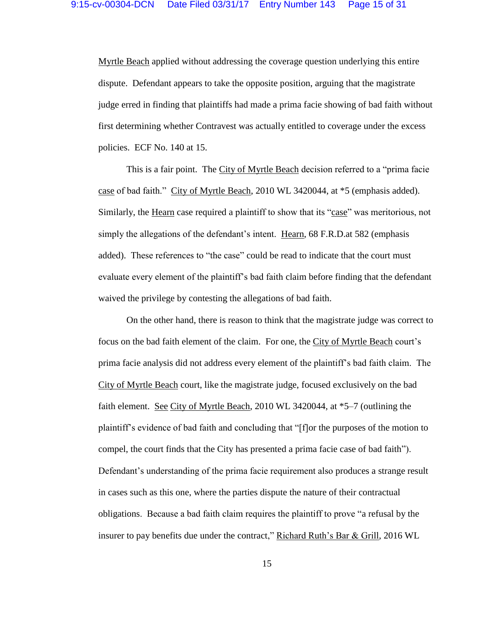Myrtle Beach applied without addressing the coverage question underlying this entire dispute. Defendant appears to take the opposite position, arguing that the magistrate judge erred in finding that plaintiffs had made a prima facie showing of bad faith without first determining whether Contravest was actually entitled to coverage under the excess policies. ECF No. 140 at 15.

This is a fair point. The City of Myrtle Beach decision referred to a "prima facie case of bad faith." City of Myrtle Beach, 2010 WL 3420044, at \*5 (emphasis added). Similarly, the Hearn case required a plaintiff to show that its "case" was meritorious, not simply the allegations of the defendant's intent. Hearn, 68 F.R.D.at 582 (emphasis added). These references to "the case" could be read to indicate that the court must evaluate every element of the plaintiff's bad faith claim before finding that the defendant waived the privilege by contesting the allegations of bad faith.

On the other hand, there is reason to think that the magistrate judge was correct to focus on the bad faith element of the claim. For one, the City of Myrtle Beach court's prima facie analysis did not address every element of the plaintiff's bad faith claim. The City of Myrtle Beach court, like the magistrate judge, focused exclusively on the bad faith element. See City of Myrtle Beach, 2010 WL 3420044, at \*5–7 (outlining the plaintiff's evidence of bad faith and concluding that "[f]or the purposes of the motion to compel, the court finds that the City has presented a prima facie case of bad faith"). Defendant's understanding of the prima facie requirement also produces a strange result in cases such as this one, where the parties dispute the nature of their contractual obligations. Because a bad faith claim requires the plaintiff to prove "a refusal by the insurer to pay benefits due under the contract," Richard Ruth's Bar & Grill, 2016 WL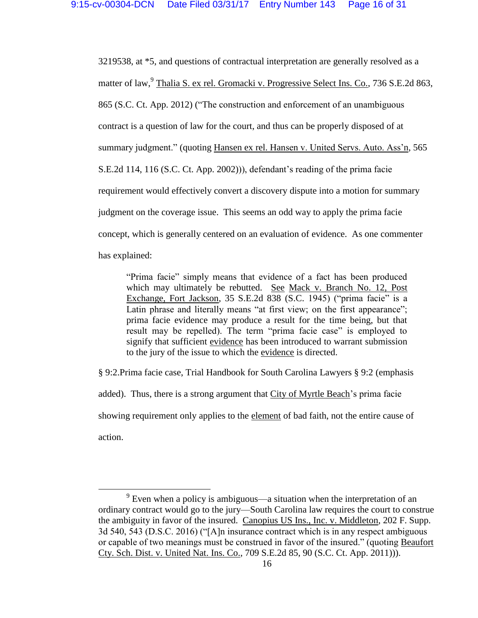3219538, at \*5, and questions of contractual interpretation are generally resolved as a matter of law, <sup>9</sup> Thalia S. ex rel. Gromacki v. Progressive Select Ins. Co., 736 S.E.2d 863, 865 (S.C. Ct. App. 2012) ("The construction and enforcement of an unambiguous contract is a question of law for the court, and thus can be properly disposed of at summary judgment." (quoting Hansen ex rel. Hansen v. United Servs. Auto. Ass'n, 565 S.E.2d 114, 116 (S.C. Ct. App. 2002))), defendant's reading of the prima facie requirement would effectively convert a discovery dispute into a motion for summary judgment on the coverage issue. This seems an odd way to apply the prima facie concept, which is generally centered on an evaluation of evidence. As one commenter has explained:

"Prima facie" simply means that evidence of a fact has been produced which may ultimately be rebutted. See Mack v. Branch No. 12, Post Exchange, Fort Jackson, 35 S.E.2d 838 (S.C. 1945) ("prima facie" is a Latin phrase and literally means "at first view; on the first appearance"; prima facie evidence may produce a result for the time being, but that result may be repelled). The term "prima facie case" is employed to signify that sufficient evidence has been introduced to warrant submission to the jury of the issue to which the evidence is directed.

§ 9:2.Prima facie case, Trial Handbook for South Carolina Lawyers § 9:2 (emphasis added). Thus, there is a strong argument that City of Myrtle Beach's prima facie showing requirement only applies to the element of bad faith, not the entire cause of action.

 $\overline{a}$ 

 $9^9$  Even when a policy is ambiguous—a situation when the interpretation of an ordinary contract would go to the jury—South Carolina law requires the court to construe the ambiguity in favor of the insured. Canopius US Ins., Inc. v. Middleton, 202 F. Supp. 3d 540, 543 (D.S.C. 2016) ("[A]n insurance contract which is in any respect ambiguous or capable of two meanings must be construed in favor of the insured." (quoting Beaufort Cty. Sch. Dist. v. United Nat. Ins. Co., 709 S.E.2d 85, 90 (S.C. Ct. App. 2011))).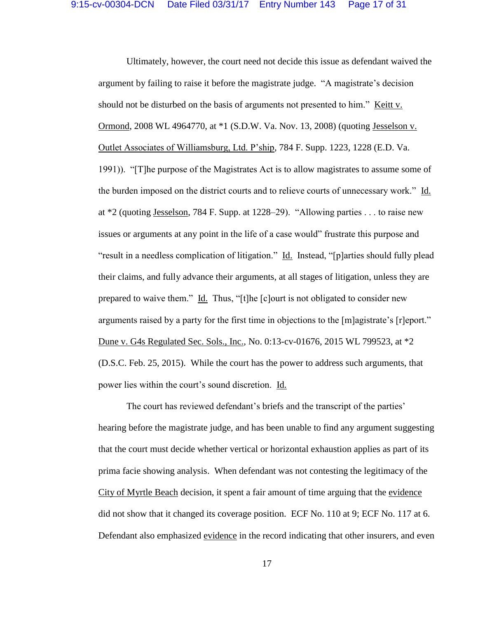Ultimately, however, the court need not decide this issue as defendant waived the argument by failing to raise it before the magistrate judge. "A magistrate's decision should not be disturbed on the basis of arguments not presented to him." Keitt v. Ormond, 2008 WL 4964770, at \*1 (S.D.W. Va. Nov. 13, 2008) (quoting Jesselson v. Outlet Associates of Williamsburg, Ltd. P'ship, 784 F. Supp. 1223, 1228 (E.D. Va. 1991)). "[T]he purpose of the Magistrates Act is to allow magistrates to assume some of the burden imposed on the district courts and to relieve courts of unnecessary work." Id. at \*2 (quoting Jesselson, 784 F. Supp. at 1228–29). "Allowing parties . . . to raise new issues or arguments at any point in the life of a case would" frustrate this purpose and "result in a needless complication of litigation." Id. Instead, "[p]arties should fully plead their claims, and fully advance their arguments, at all stages of litigation, unless they are prepared to waive them." Id. Thus, "[t]he [c]ourt is not obligated to consider new arguments raised by a party for the first time in objections to the [m]agistrate's [r]eport." Dune v. G4s Regulated Sec. Sols., Inc., No. 0:13-cv-01676, 2015 WL 799523, at \*2 (D.S.C. Feb. 25, 2015). While the court has the power to address such arguments, that power lies within the court's sound discretion. Id.

The court has reviewed defendant's briefs and the transcript of the parties' hearing before the magistrate judge, and has been unable to find any argument suggesting that the court must decide whether vertical or horizontal exhaustion applies as part of its prima facie showing analysis. When defendant was not contesting the legitimacy of the City of Myrtle Beach decision, it spent a fair amount of time arguing that the evidence did not show that it changed its coverage position. ECF No. 110 at 9; ECF No. 117 at 6. Defendant also emphasized evidence in the record indicating that other insurers, and even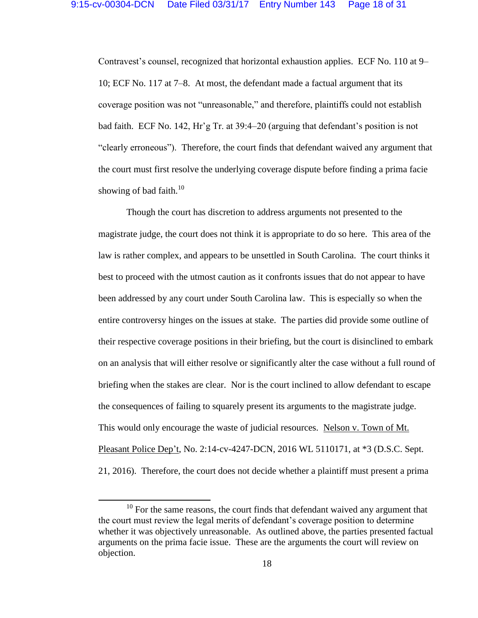Contravest's counsel, recognized that horizontal exhaustion applies. ECF No. 110 at 9– 10; ECF No. 117 at 7–8. At most, the defendant made a factual argument that its coverage position was not "unreasonable," and therefore, plaintiffs could not establish bad faith. ECF No. 142, Hr'g Tr. at 39:4–20 (arguing that defendant's position is not "clearly erroneous"). Therefore, the court finds that defendant waived any argument that the court must first resolve the underlying coverage dispute before finding a prima facie showing of bad faith. $10<sup>10</sup>$ 

Though the court has discretion to address arguments not presented to the magistrate judge, the court does not think it is appropriate to do so here. This area of the law is rather complex, and appears to be unsettled in South Carolina. The court thinks it best to proceed with the utmost caution as it confronts issues that do not appear to have been addressed by any court under South Carolina law. This is especially so when the entire controversy hinges on the issues at stake. The parties did provide some outline of their respective coverage positions in their briefing, but the court is disinclined to embark on an analysis that will either resolve or significantly alter the case without a full round of briefing when the stakes are clear. Nor is the court inclined to allow defendant to escape the consequences of failing to squarely present its arguments to the magistrate judge. This would only encourage the waste of judicial resources. Nelson v. Town of Mt. Pleasant Police Dep't, No. 2:14-cv-4247-DCN, 2016 WL 5110171, at \*3 (D.S.C. Sept. 21, 2016). Therefore, the court does not decide whether a plaintiff must present a prima

 $\overline{\phantom{a}}$ 

 $10$  For the same reasons, the court finds that defendant waived any argument that the court must review the legal merits of defendant's coverage position to determine whether it was objectively unreasonable. As outlined above, the parties presented factual arguments on the prima facie issue. These are the arguments the court will review on objection.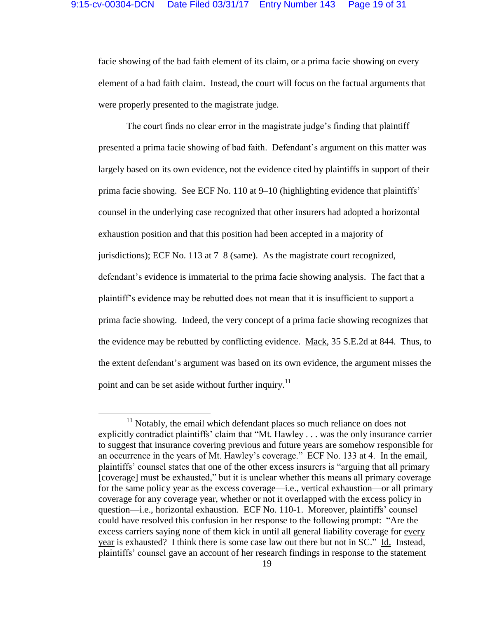facie showing of the bad faith element of its claim, or a prima facie showing on every element of a bad faith claim. Instead, the court will focus on the factual arguments that were properly presented to the magistrate judge.

The court finds no clear error in the magistrate judge's finding that plaintiff presented a prima facie showing of bad faith. Defendant's argument on this matter was largely based on its own evidence, not the evidence cited by plaintiffs in support of their prima facie showing. See ECF No. 110 at 9–10 (highlighting evidence that plaintiffs' counsel in the underlying case recognized that other insurers had adopted a horizontal exhaustion position and that this position had been accepted in a majority of jurisdictions); ECF No. 113 at 7–8 (same). As the magistrate court recognized, defendant's evidence is immaterial to the prima facie showing analysis. The fact that a plaintiff's evidence may be rebutted does not mean that it is insufficient to support a prima facie showing. Indeed, the very concept of a prima facie showing recognizes that the evidence may be rebutted by conflicting evidence. Mack, 35 S.E.2d at 844. Thus, to the extent defendant's argument was based on its own evidence, the argument misses the point and can be set aside without further inquiry.<sup>11</sup>

l

 $11$  Notably, the email which defendant places so much reliance on does not explicitly contradict plaintiffs' claim that "Mt. Hawley . . . was the only insurance carrier to suggest that insurance covering previous and future years are somehow responsible for an occurrence in the years of Mt. Hawley's coverage." ECF No. 133 at 4. In the email, plaintiffs' counsel states that one of the other excess insurers is "arguing that all primary [coverage] must be exhausted," but it is unclear whether this means all primary coverage for the same policy year as the excess coverage—i.e., vertical exhaustion—or all primary coverage for any coverage year, whether or not it overlapped with the excess policy in question—i.e., horizontal exhaustion. ECF No. 110-1. Moreover, plaintiffs' counsel could have resolved this confusion in her response to the following prompt: "Are the excess carriers saying none of them kick in until all general liability coverage for every year is exhausted? I think there is some case law out there but not in SC." Id. Instead, plaintiffs' counsel gave an account of her research findings in response to the statement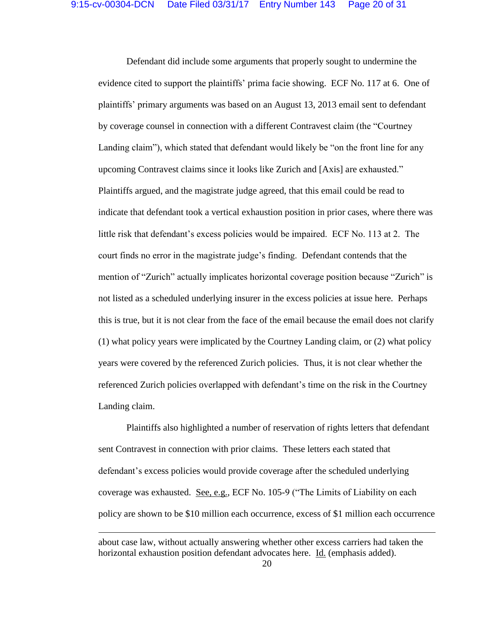Defendant did include some arguments that properly sought to undermine the evidence cited to support the plaintiffs' prima facie showing. ECF No. 117 at 6. One of plaintiffs' primary arguments was based on an August 13, 2013 email sent to defendant by coverage counsel in connection with a different Contravest claim (the "Courtney Landing claim"), which stated that defendant would likely be "on the front line for any upcoming Contravest claims since it looks like Zurich and [Axis] are exhausted." Plaintiffs argued, and the magistrate judge agreed, that this email could be read to indicate that defendant took a vertical exhaustion position in prior cases, where there was little risk that defendant's excess policies would be impaired. ECF No. 113 at 2. The court finds no error in the magistrate judge's finding. Defendant contends that the mention of "Zurich" actually implicates horizontal coverage position because "Zurich" is not listed as a scheduled underlying insurer in the excess policies at issue here. Perhaps this is true, but it is not clear from the face of the email because the email does not clarify (1) what policy years were implicated by the Courtney Landing claim, or (2) what policy years were covered by the referenced Zurich policies. Thus, it is not clear whether the referenced Zurich policies overlapped with defendant's time on the risk in the Courtney Landing claim.

Plaintiffs also highlighted a number of reservation of rights letters that defendant sent Contravest in connection with prior claims. These letters each stated that defendant's excess policies would provide coverage after the scheduled underlying coverage was exhausted. See, e.g., ECF No. 105-9 ("The Limits of Liability on each policy are shown to be \$10 million each occurrence, excess of \$1 million each occurrence

 $\overline{a}$ 

about case law, without actually answering whether other excess carriers had taken the horizontal exhaustion position defendant advocates here. Id. (emphasis added).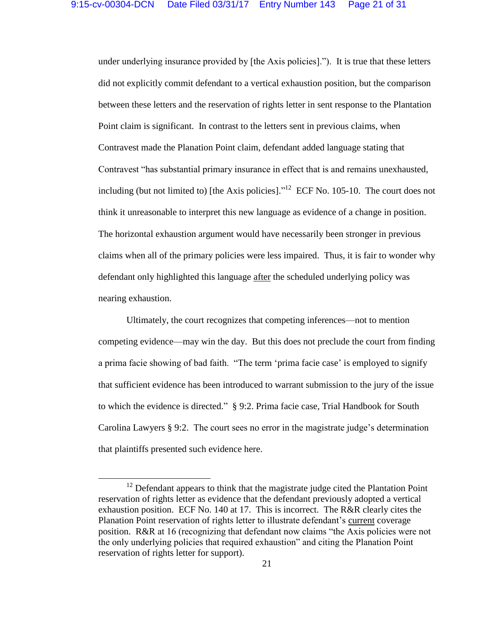under underlying insurance provided by [the Axis policies]."). It is true that these letters did not explicitly commit defendant to a vertical exhaustion position, but the comparison between these letters and the reservation of rights letter in sent response to the Plantation Point claim is significant. In contrast to the letters sent in previous claims, when Contravest made the Planation Point claim, defendant added language stating that Contravest "has substantial primary insurance in effect that is and remains unexhausted, including (but not limited to) [the Axis policies]."<sup>12</sup> ECF No. 105-10. The court does not think it unreasonable to interpret this new language as evidence of a change in position. The horizontal exhaustion argument would have necessarily been stronger in previous claims when all of the primary policies were less impaired. Thus, it is fair to wonder why defendant only highlighted this language after the scheduled underlying policy was nearing exhaustion.

Ultimately, the court recognizes that competing inferences—not to mention competing evidence—may win the day. But this does not preclude the court from finding a prima facie showing of bad faith. "The term 'prima facie case' is employed to signify that sufficient evidence has been introduced to warrant submission to the jury of the issue to which the evidence is directed." § 9:2. Prima facie case, Trial Handbook for South Carolina Lawyers § 9:2. The court sees no error in the magistrate judge's determination that plaintiffs presented such evidence here.

 $\overline{a}$ 

 $12$  Defendant appears to think that the magistrate judge cited the Plantation Point reservation of rights letter as evidence that the defendant previously adopted a vertical exhaustion position. ECF No. 140 at 17. This is incorrect. The R&R clearly cites the Planation Point reservation of rights letter to illustrate defendant's current coverage position. R&R at 16 (recognizing that defendant now claims "the Axis policies were not the only underlying policies that required exhaustion" and citing the Planation Point reservation of rights letter for support).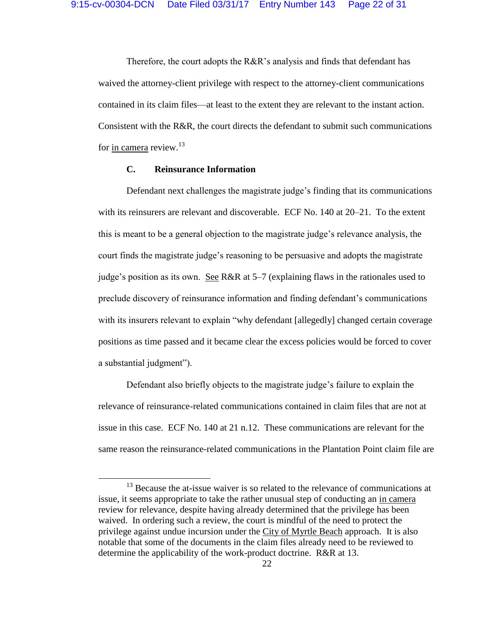Therefore, the court adopts the R&R's analysis and finds that defendant has waived the attorney-client privilege with respect to the attorney-client communications contained in its claim files—at least to the extent they are relevant to the instant action. Consistent with the R&R, the court directs the defendant to submit such communications for <u>in camera</u> review.<sup>13</sup>

## **C. Reinsurance Information**

 $\overline{a}$ 

Defendant next challenges the magistrate judge's finding that its communications with its reinsurers are relevant and discoverable. ECF No. 140 at 20–21. To the extent this is meant to be a general objection to the magistrate judge's relevance analysis, the court finds the magistrate judge's reasoning to be persuasive and adopts the magistrate judge's position as its own. See R&R at 5–7 (explaining flaws in the rationales used to preclude discovery of reinsurance information and finding defendant's communications with its insurers relevant to explain "why defendant [allegedly] changed certain coverage positions as time passed and it became clear the excess policies would be forced to cover a substantial judgment").

Defendant also briefly objects to the magistrate judge's failure to explain the relevance of reinsurance-related communications contained in claim files that are not at issue in this case. ECF No. 140 at 21 n.12. These communications are relevant for the same reason the reinsurance-related communications in the Plantation Point claim file are

<sup>&</sup>lt;sup>13</sup> Because the at-issue waiver is so related to the relevance of communications at issue, it seems appropriate to take the rather unusual step of conducting an in camera review for relevance, despite having already determined that the privilege has been waived. In ordering such a review, the court is mindful of the need to protect the privilege against undue incursion under the City of Myrtle Beach approach. It is also notable that some of the documents in the claim files already need to be reviewed to determine the applicability of the work-product doctrine. R&R at 13.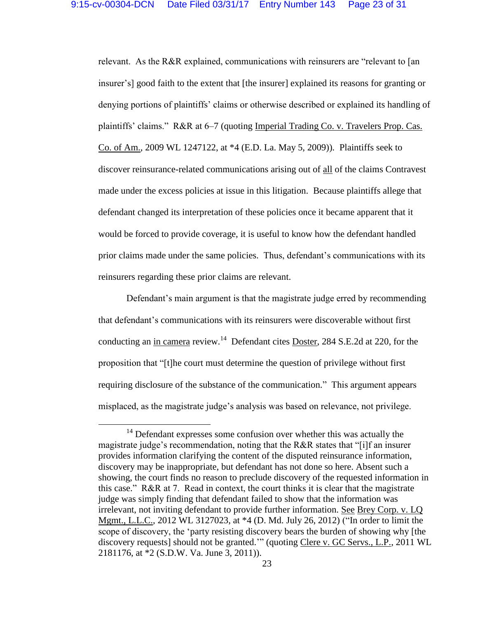relevant. As the R&R explained, communications with reinsurers are "relevant to [an insurer's] good faith to the extent that [the insurer] explained its reasons for granting or denying portions of plaintiffs' claims or otherwise described or explained its handling of plaintiffs' claims." R&R at 6–7 (quoting Imperial Trading Co. v. Travelers Prop. Cas. Co. of Am., 2009 WL 1247122, at \*4 (E.D. La. May 5, 2009)). Plaintiffs seek to discover reinsurance-related communications arising out of all of the claims Contravest made under the excess policies at issue in this litigation. Because plaintiffs allege that defendant changed its interpretation of these policies once it became apparent that it would be forced to provide coverage, it is useful to know how the defendant handled prior claims made under the same policies. Thus, defendant's communications with its reinsurers regarding these prior claims are relevant.

Defendant's main argument is that the magistrate judge erred by recommending that defendant's communications with its reinsurers were discoverable without first conducting an in camera review.<sup>14</sup> Defendant cites **Doster**, 284 S.E.2d at 220, for the proposition that "[t]he court must determine the question of privilege without first requiring disclosure of the substance of the communication." This argument appears misplaced, as the magistrate judge's analysis was based on relevance, not privilege.

 $\overline{a}$ 

 $14$  Defendant expresses some confusion over whether this was actually the magistrate judge's recommendation, noting that the R&R states that "[i]f an insurer provides information clarifying the content of the disputed reinsurance information, discovery may be inappropriate, but defendant has not done so here. Absent such a showing, the court finds no reason to preclude discovery of the requested information in this case." R&R at 7. Read in context, the court thinks it is clear that the magistrate judge was simply finding that defendant failed to show that the information was irrelevant, not inviting defendant to provide further information. See Brey Corp. v. LQ Mgmt., L.L.C., 2012 WL 3127023, at \*4 (D. Md. July 26, 2012) ("In order to limit the scope of discovery, the 'party resisting discovery bears the burden of showing why [the discovery requests] should not be granted.'" (quoting Clere v. GC Servs., L.P., 2011 WL 2181176, at \*2 (S.D.W. Va. June 3, 2011)).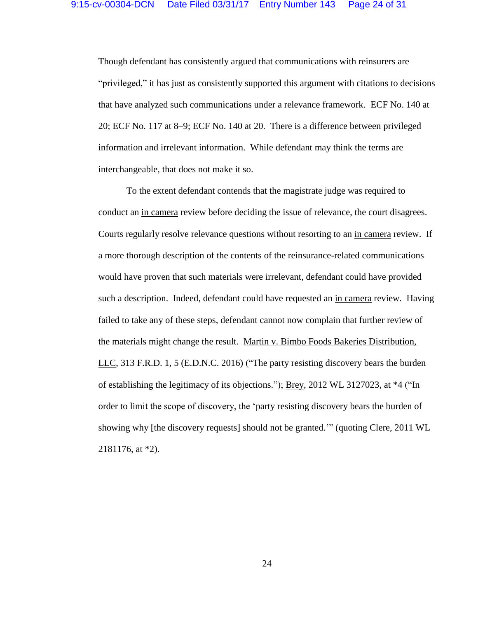Though defendant has consistently argued that communications with reinsurers are "privileged," it has just as consistently supported this argument with citations to decisions that have analyzed such communications under a relevance framework. ECF No. 140 at 20; ECF No. 117 at 8–9; ECF No. 140 at 20. There is a difference between privileged information and irrelevant information. While defendant may think the terms are interchangeable, that does not make it so.

To the extent defendant contends that the magistrate judge was required to conduct an in camera review before deciding the issue of relevance, the court disagrees. Courts regularly resolve relevance questions without resorting to an in camera review. If a more thorough description of the contents of the reinsurance-related communications would have proven that such materials were irrelevant, defendant could have provided such a description. Indeed, defendant could have requested an in camera review. Having failed to take any of these steps, defendant cannot now complain that further review of the materials might change the result. Martin v. Bimbo Foods Bakeries Distribution, LLC, 313 F.R.D. 1, 5 (E.D.N.C. 2016) ("The party resisting discovery bears the burden of establishing the legitimacy of its objections."); Brey, 2012 WL 3127023, at \*4 ("In order to limit the scope of discovery, the 'party resisting discovery bears the burden of showing why [the discovery requests] should not be granted.'" (quoting Clere, 2011 WL 2181176, at \*2).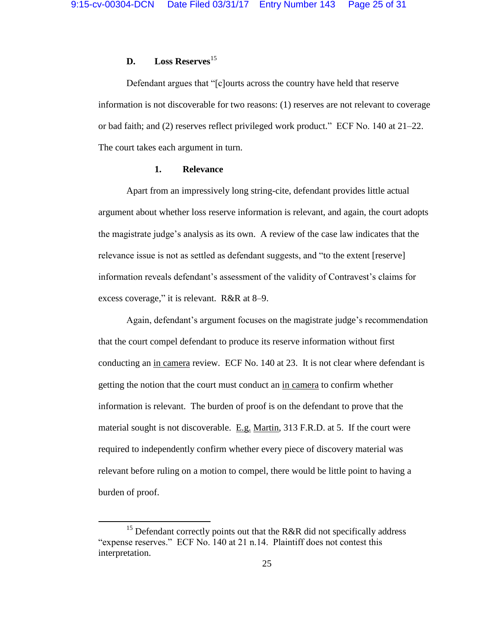## **D. Loss Reserves**<sup>15</sup>

Defendant argues that "[c]ourts across the country have held that reserve information is not discoverable for two reasons: (1) reserves are not relevant to coverage or bad faith; and (2) reserves reflect privileged work product." ECF No. 140 at 21–22. The court takes each argument in turn.

### **1. Relevance**

Apart from an impressively long string-cite, defendant provides little actual argument about whether loss reserve information is relevant, and again, the court adopts the magistrate judge's analysis as its own. A review of the case law indicates that the relevance issue is not as settled as defendant suggests, and "to the extent [reserve] information reveals defendant's assessment of the validity of Contravest's claims for excess coverage," it is relevant. R&R at 8–9.

Again, defendant's argument focuses on the magistrate judge's recommendation that the court compel defendant to produce its reserve information without first conducting an in camera review. ECF No. 140 at 23. It is not clear where defendant is getting the notion that the court must conduct an in camera to confirm whether information is relevant. The burden of proof is on the defendant to prove that the material sought is not discoverable. E.g. Martin, 313 F.R.D. at 5. If the court were required to independently confirm whether every piece of discovery material was relevant before ruling on a motion to compel, there would be little point to having a burden of proof.

l

 $15$  Defendant correctly points out that the R&R did not specifically address "expense reserves." ECF No. 140 at 21 n.14. Plaintiff does not contest this interpretation.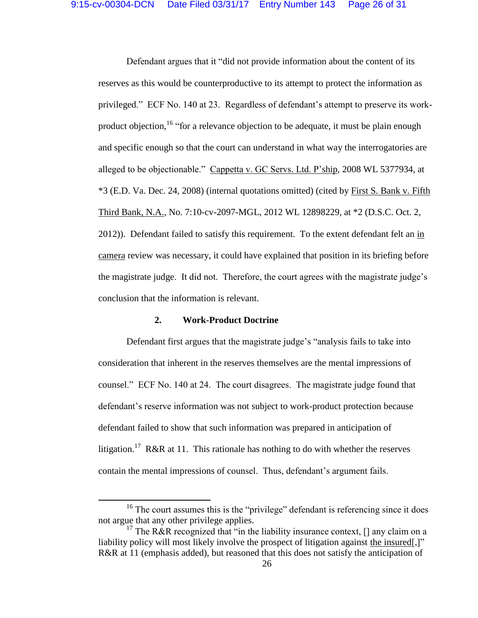Defendant argues that it "did not provide information about the content of its reserves as this would be counterproductive to its attempt to protect the information as privileged." ECF No. 140 at 23. Regardless of defendant's attempt to preserve its workproduct objection, <sup>16</sup> "for a relevance objection to be adequate, it must be plain enough and specific enough so that the court can understand in what way the interrogatories are alleged to be objectionable." Cappetta v. GC Servs. Ltd. P'ship, 2008 WL 5377934, at \*3 (E.D. Va. Dec. 24, 2008) (internal quotations omitted) (cited by First S. Bank v. Fifth Third Bank, N.A., No. 7:10-cv-2097-MGL, 2012 WL 12898229, at \*2 (D.S.C. Oct. 2, 2012)). Defendant failed to satisfy this requirement. To the extent defendant felt an in camera review was necessary, it could have explained that position in its briefing before the magistrate judge. It did not. Therefore, the court agrees with the magistrate judge's conclusion that the information is relevant.

### **2. Work-Product Doctrine**

 $\overline{\phantom{a}}$ 

Defendant first argues that the magistrate judge's "analysis fails to take into consideration that inherent in the reserves themselves are the mental impressions of counsel." ECF No. 140 at 24. The court disagrees. The magistrate judge found that defendant's reserve information was not subject to work-product protection because defendant failed to show that such information was prepared in anticipation of litigation.<sup>17</sup> R&R at 11. This rationale has nothing to do with whether the reserves contain the mental impressions of counsel. Thus, defendant's argument fails.

<sup>&</sup>lt;sup>16</sup> The court assumes this is the "privilege" defendant is referencing since it does not argue that any other privilege applies.

<sup>&</sup>lt;sup>17</sup> The R&R recognized that "in the liability insurance context, [] any claim on a liability policy will most likely involve the prospect of litigation against the insured.]" R&R at 11 (emphasis added), but reasoned that this does not satisfy the anticipation of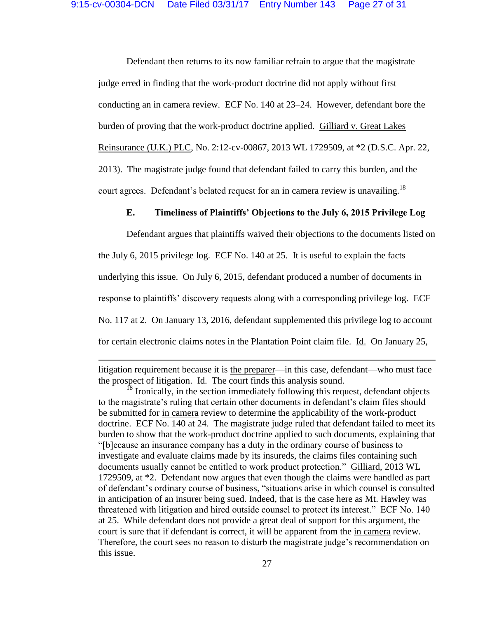Defendant then returns to its now familiar refrain to argue that the magistrate judge erred in finding that the work-product doctrine did not apply without first conducting an in camera review. ECF No. 140 at 23–24. However, defendant bore the burden of proving that the work-product doctrine applied. Gilliard v. Great Lakes Reinsurance (U.K.) PLC, No. 2:12-cv-00867, 2013 WL 1729509, at \*2 (D.S.C. Apr. 22, 2013). The magistrate judge found that defendant failed to carry this burden, and the court agrees. Defendant's belated request for an in camera review is unavailing.<sup>18</sup>

## **E. Timeliness of Plaintiffs' Objections to the July 6, 2015 Privilege Log**

Defendant argues that plaintiffs waived their objections to the documents listed on the July 6, 2015 privilege log. ECF No. 140 at 25. It is useful to explain the facts underlying this issue. On July 6, 2015, defendant produced a number of documents in response to plaintiffs' discovery requests along with a corresponding privilege log. ECF No. 117 at 2. On January 13, 2016, defendant supplemented this privilege log to account for certain electronic claims notes in the Plantation Point claim file. Id. On January 25,

litigation requirement because it is the preparer—in this case, defendant—who must face the prospect of litigation. Id. The court finds this analysis sound.

l

Ironically, in the section immediately following this request, defendant objects to the magistrate's ruling that certain other documents in defendant's claim files should be submitted for in camera review to determine the applicability of the work-product doctrine. ECF No. 140 at 24. The magistrate judge ruled that defendant failed to meet its burden to show that the work-product doctrine applied to such documents, explaining that "[b]ecause an insurance company has a duty in the ordinary course of business to investigate and evaluate claims made by its insureds, the claims files containing such documents usually cannot be entitled to work product protection." Gilliard, 2013 WL 1729509, at \*2. Defendant now argues that even though the claims were handled as part of defendant's ordinary course of business, "situations arise in which counsel is consulted in anticipation of an insurer being sued. Indeed, that is the case here as Mt. Hawley was threatened with litigation and hired outside counsel to protect its interest." ECF No. 140 at 25. While defendant does not provide a great deal of support for this argument, the court is sure that if defendant is correct, it will be apparent from the in camera review. Therefore, the court sees no reason to disturb the magistrate judge's recommendation on this issue.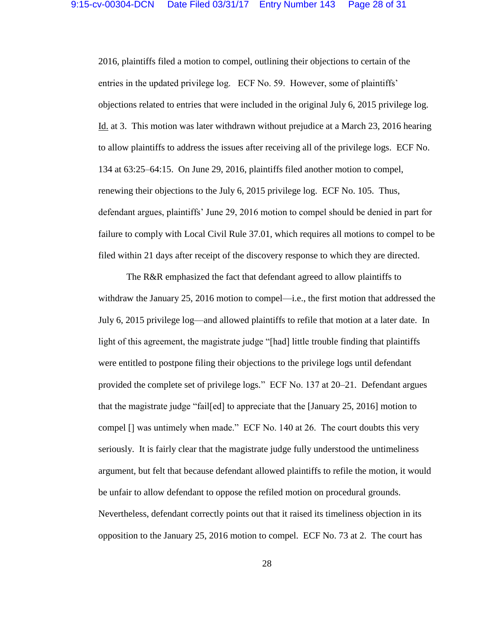2016, plaintiffs filed a motion to compel, outlining their objections to certain of the entries in the updated privilege log. ECF No. 59. However, some of plaintiffs' objections related to entries that were included in the original July 6, 2015 privilege log. Id. at 3. This motion was later withdrawn without prejudice at a March 23, 2016 hearing to allow plaintiffs to address the issues after receiving all of the privilege logs. ECF No. 134 at 63:25–64:15. On June 29, 2016, plaintiffs filed another motion to compel, renewing their objections to the July 6, 2015 privilege log. ECF No. 105. Thus, defendant argues, plaintiffs' June 29, 2016 motion to compel should be denied in part for failure to comply with Local Civil Rule 37.01, which requires all motions to compel to be filed within 21 days after receipt of the discovery response to which they are directed.

The R&R emphasized the fact that defendant agreed to allow plaintiffs to withdraw the January 25, 2016 motion to compel—i.e., the first motion that addressed the July 6, 2015 privilege log—and allowed plaintiffs to refile that motion at a later date. In light of this agreement, the magistrate judge "[had] little trouble finding that plaintiffs were entitled to postpone filing their objections to the privilege logs until defendant provided the complete set of privilege logs." ECF No. 137 at 20–21. Defendant argues that the magistrate judge "fail[ed] to appreciate that the [January 25, 2016] motion to compel [] was untimely when made." ECF No. 140 at 26. The court doubts this very seriously. It is fairly clear that the magistrate judge fully understood the untimeliness argument, but felt that because defendant allowed plaintiffs to refile the motion, it would be unfair to allow defendant to oppose the refiled motion on procedural grounds. Nevertheless, defendant correctly points out that it raised its timeliness objection in its opposition to the January 25, 2016 motion to compel. ECF No. 73 at 2. The court has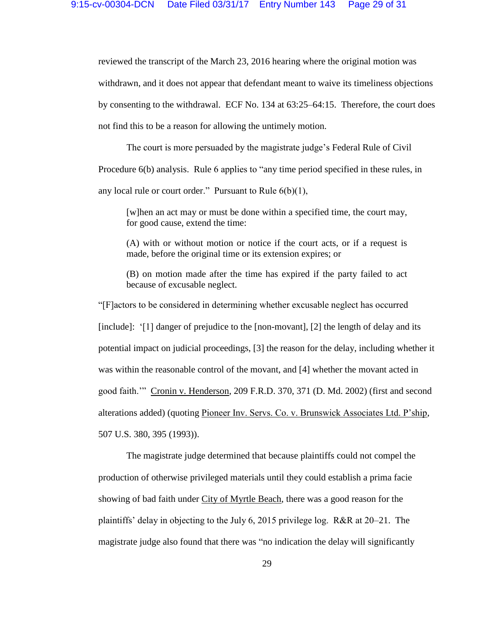reviewed the transcript of the March 23, 2016 hearing where the original motion was withdrawn, and it does not appear that defendant meant to waive its timeliness objections by consenting to the withdrawal. ECF No. 134 at 63:25–64:15. Therefore, the court does not find this to be a reason for allowing the untimely motion.

The court is more persuaded by the magistrate judge's Federal Rule of Civil Procedure 6(b) analysis. Rule 6 applies to "any time period specified in these rules, in any local rule or court order." Pursuant to Rule  $6(b)(1)$ ,

[w]hen an act may or must be done within a specified time, the court may, for good cause, extend the time:

(A) with or without motion or notice if the court acts, or if a request is made, before the original time or its extension expires; or

(B) on motion made after the time has expired if the party failed to act because of excusable neglect.

"[F]actors to be considered in determining whether excusable neglect has occurred [include]: '[1] danger of prejudice to the [non-movant], [2] the length of delay and its potential impact on judicial proceedings, [3] the reason for the delay, including whether it was within the reasonable control of the movant, and [4] whether the movant acted in good faith.'" Cronin v. Henderson, 209 F.R.D. 370, 371 (D. Md. 2002) (first and second alterations added) (quoting Pioneer Inv. Servs. Co. v. Brunswick Associates Ltd. P'ship, 507 U.S. 380, 395 (1993)).

The magistrate judge determined that because plaintiffs could not compel the production of otherwise privileged materials until they could establish a prima facie showing of bad faith under City of Myrtle Beach, there was a good reason for the plaintiffs' delay in objecting to the July 6, 2015 privilege log. R&R at 20–21. The magistrate judge also found that there was "no indication the delay will significantly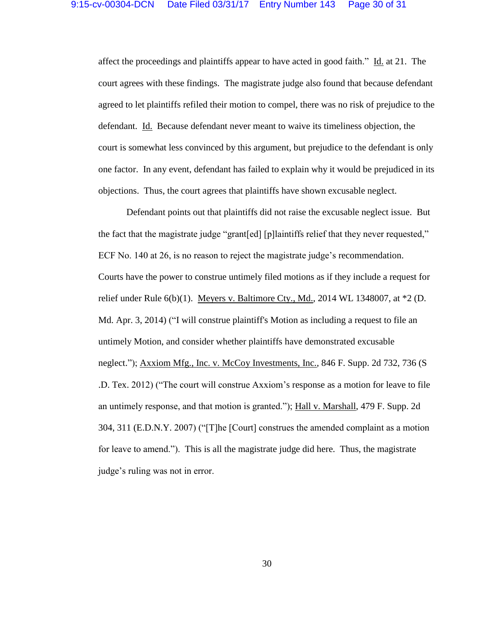affect the proceedings and plaintiffs appear to have acted in good faith." Id. at 21. The court agrees with these findings. The magistrate judge also found that because defendant agreed to let plaintiffs refiled their motion to compel, there was no risk of prejudice to the defendant. Id. Because defendant never meant to waive its timeliness objection, the court is somewhat less convinced by this argument, but prejudice to the defendant is only one factor. In any event, defendant has failed to explain why it would be prejudiced in its objections. Thus, the court agrees that plaintiffs have shown excusable neglect.

Defendant points out that plaintiffs did not raise the excusable neglect issue. But the fact that the magistrate judge "grant[ed] [p]laintiffs relief that they never requested," ECF No. 140 at 26, is no reason to reject the magistrate judge's recommendation. Courts have the power to construe untimely filed motions as if they include a request for relief under Rule  $6(b)(1)$ . Meyers v. Baltimore Cty., Md., 2014 WL 1348007, at  $*2$  (D. Md. Apr. 3, 2014) ("I will construe plaintiff's Motion as including a request to file an untimely Motion, and consider whether plaintiffs have demonstrated excusable neglect."); Axxiom Mfg., Inc. v. McCoy Investments, Inc., 846 F. Supp. 2d 732, 736 (S .D. Tex. 2012) ("The court will construe Axxiom's response as a motion for leave to file an untimely response, and that motion is granted."); Hall v. Marshall, 479 F. Supp. 2d 304, 311 (E.D.N.Y. 2007) ("[T]he [Court] construes the amended complaint as a motion for leave to amend."). This is all the magistrate judge did here. Thus, the magistrate judge's ruling was not in error.